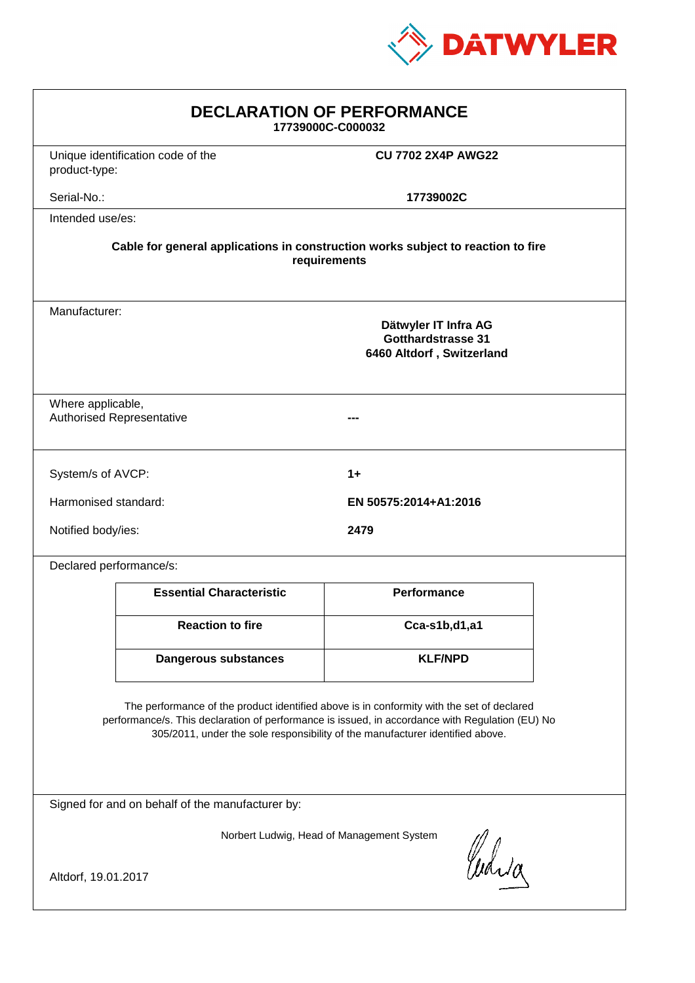

| <b>DECLARATION OF PERFORMANCE</b><br>17739000C-C000032                                                                                                                                                                                                                        |                                 |                           |  |
|-------------------------------------------------------------------------------------------------------------------------------------------------------------------------------------------------------------------------------------------------------------------------------|---------------------------------|---------------------------|--|
| Unique identification code of the<br>product-type:                                                                                                                                                                                                                            |                                 | <b>CU 7702 2X4P AWG22</b> |  |
| Serial-No.:                                                                                                                                                                                                                                                                   |                                 | 17739002C                 |  |
| Intended use/es:                                                                                                                                                                                                                                                              |                                 |                           |  |
| Cable for general applications in construction works subject to reaction to fire<br>requirements                                                                                                                                                                              |                                 |                           |  |
| Manufacturer:<br>Dätwyler IT Infra AG<br><b>Gotthardstrasse 31</b><br>6460 Altdorf, Switzerland                                                                                                                                                                               |                                 |                           |  |
| Where applicable,<br><b>Authorised Representative</b>                                                                                                                                                                                                                         |                                 |                           |  |
| System/s of AVCP:                                                                                                                                                                                                                                                             |                                 | $1+$                      |  |
| Harmonised standard:                                                                                                                                                                                                                                                          |                                 | EN 50575:2014+A1:2016     |  |
| Notified body/ies:<br>2479                                                                                                                                                                                                                                                    |                                 |                           |  |
| Declared performance/s:                                                                                                                                                                                                                                                       |                                 |                           |  |
|                                                                                                                                                                                                                                                                               | <b>Essential Characteristic</b> | Performance               |  |
|                                                                                                                                                                                                                                                                               | <b>Reaction to fire</b>         | Cca-s1b,d1,a1             |  |
|                                                                                                                                                                                                                                                                               | <b>Dangerous substances</b>     | <b>KLF/NPD</b>            |  |
| The performance of the product identified above is in conformity with the set of declared<br>performance/s. This declaration of performance is issued, in accordance with Regulation (EU) No<br>305/2011, under the sole responsibility of the manufacturer identified above. |                                 |                           |  |
| Signed for and on behalf of the manufacturer by:                                                                                                                                                                                                                              |                                 |                           |  |
| Norbert Ludwig, Head of Management System<br>Curia                                                                                                                                                                                                                            |                                 |                           |  |
| Altdorf, 19.01.2017                                                                                                                                                                                                                                                           |                                 |                           |  |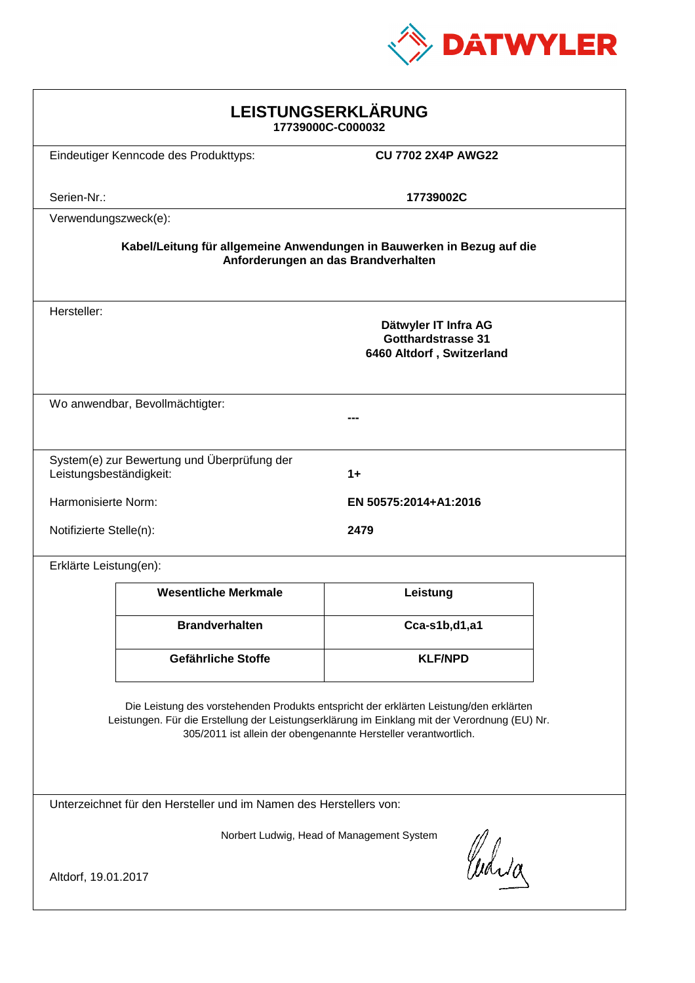

| LEISTUNGSERKLÄRUNG<br>17739000C-C000032                                                                                                                                                                                                                    |                                                                                |                           |  |
|------------------------------------------------------------------------------------------------------------------------------------------------------------------------------------------------------------------------------------------------------------|--------------------------------------------------------------------------------|---------------------------|--|
|                                                                                                                                                                                                                                                            | Eindeutiger Kenncode des Produkttyps:                                          | <b>CU 7702 2X4P AWG22</b> |  |
| Serien-Nr.:                                                                                                                                                                                                                                                |                                                                                | 17739002C                 |  |
| Verwendungszweck(e):                                                                                                                                                                                                                                       |                                                                                |                           |  |
| Kabel/Leitung für allgemeine Anwendungen in Bauwerken in Bezug auf die<br>Anforderungen an das Brandverhalten                                                                                                                                              |                                                                                |                           |  |
| Hersteller:                                                                                                                                                                                                                                                | Dätwyler IT Infra AG<br><b>Gotthardstrasse 31</b><br>6460 Altdorf, Switzerland |                           |  |
| Wo anwendbar, Bevollmächtigter:                                                                                                                                                                                                                            |                                                                                |                           |  |
| Leistungsbeständigkeit:                                                                                                                                                                                                                                    | System(e) zur Bewertung und Überprüfung der                                    | $1+$                      |  |
| Harmonisierte Norm:<br>EN 50575:2014+A1:2016                                                                                                                                                                                                               |                                                                                |                           |  |
|                                                                                                                                                                                                                                                            | Notifizierte Stelle(n):<br>2479                                                |                           |  |
| Erklärte Leistung(en):                                                                                                                                                                                                                                     |                                                                                |                           |  |
|                                                                                                                                                                                                                                                            | <b>Wesentliche Merkmale</b>                                                    | Leistung                  |  |
|                                                                                                                                                                                                                                                            | <b>Brandverhalten</b>                                                          | Cca-s1b,d1,a1             |  |
|                                                                                                                                                                                                                                                            | <b>Gefährliche Stoffe</b>                                                      | <b>KLF/NPD</b>            |  |
| Die Leistung des vorstehenden Produkts entspricht der erklärten Leistung/den erklärten<br>Leistungen. Für die Erstellung der Leistungserklärung im Einklang mit der Verordnung (EU) Nr.<br>305/2011 ist allein der obengenannte Hersteller verantwortlich. |                                                                                |                           |  |
| Unterzeichnet für den Hersteller und im Namen des Herstellers von:                                                                                                                                                                                         |                                                                                |                           |  |
| Norbert Ludwig, Head of Management System<br>Curia<br>Altdorf, 19.01.2017                                                                                                                                                                                  |                                                                                |                           |  |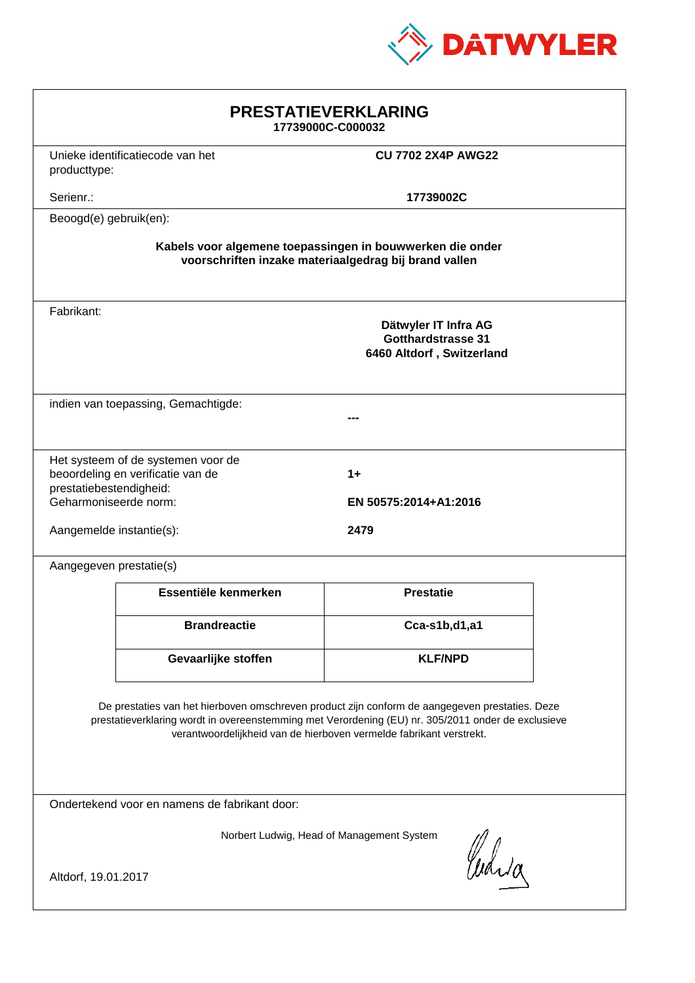

| <b>PRESTATIEVERKLARING</b><br>17739000C-C000032                                                                                                                                                                                                                             |  |  |  |
|-----------------------------------------------------------------------------------------------------------------------------------------------------------------------------------------------------------------------------------------------------------------------------|--|--|--|
| <b>CU 7702 2X4P AWG22</b>                                                                                                                                                                                                                                                   |  |  |  |
| 17739002C                                                                                                                                                                                                                                                                   |  |  |  |
|                                                                                                                                                                                                                                                                             |  |  |  |
| Kabels voor algemene toepassingen in bouwwerken die onder<br>voorschriften inzake materiaalgedrag bij brand vallen                                                                                                                                                          |  |  |  |
| Dätwyler IT Infra AG<br><b>Gotthardstrasse 31</b><br>6460 Altdorf, Switzerland                                                                                                                                                                                              |  |  |  |
| indien van toepassing, Gemachtigde:                                                                                                                                                                                                                                         |  |  |  |
| $1+$<br>EN 50575:2014+A1:2016<br>2479                                                                                                                                                                                                                                       |  |  |  |
|                                                                                                                                                                                                                                                                             |  |  |  |
| <b>Prestatie</b>                                                                                                                                                                                                                                                            |  |  |  |
| Cca-s1b,d1,a1                                                                                                                                                                                                                                                               |  |  |  |
| <b>KLF/NPD</b>                                                                                                                                                                                                                                                              |  |  |  |
| De prestaties van het hierboven omschreven product zijn conform de aangegeven prestaties. Deze<br>prestatieverklaring wordt in overeenstemming met Verordening (EU) nr. 305/2011 onder de exclusieve<br>verantwoordelijkheid van de hierboven vermelde fabrikant verstrekt. |  |  |  |
| Ondertekend voor en namens de fabrikant door:                                                                                                                                                                                                                               |  |  |  |
| Norbert Ludwig, Head of Management System<br>Curia<br>Altdorf, 19.01.2017                                                                                                                                                                                                   |  |  |  |
|                                                                                                                                                                                                                                                                             |  |  |  |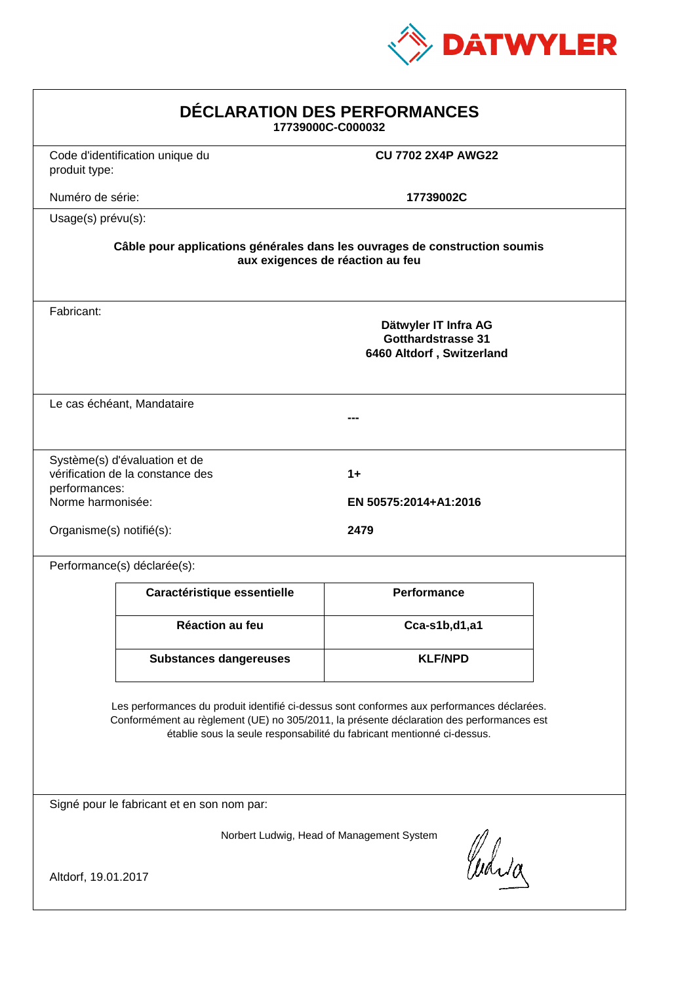

| DÉCLARATION DES PERFORMANCES<br>17739000C-C000032                                                                                                                                                                                                                |                                 |                                                                         |  |  |
|------------------------------------------------------------------------------------------------------------------------------------------------------------------------------------------------------------------------------------------------------------------|---------------------------------|-------------------------------------------------------------------------|--|--|
| produit type:                                                                                                                                                                                                                                                    | Code d'identification unique du | <b>CU 7702 2X4P AWG22</b>                                               |  |  |
| Numéro de série:                                                                                                                                                                                                                                                 |                                 | 17739002C                                                               |  |  |
| Usage(s) prévu(s):                                                                                                                                                                                                                                               |                                 |                                                                         |  |  |
| Câble pour applications générales dans les ouvrages de construction soumis<br>aux exigences de réaction au feu                                                                                                                                                   |                                 |                                                                         |  |  |
| Fabricant:                                                                                                                                                                                                                                                       |                                 | Dätwyler IT Infra AG<br>Gotthardstrasse 31<br>6460 Altdorf, Switzerland |  |  |
|                                                                                                                                                                                                                                                                  | Le cas échéant, Mandataire      |                                                                         |  |  |
| Système(s) d'évaluation et de<br>vérification de la constance des<br>$1+$<br>performances:<br>Norme harmonisée:<br>EN 50575:2014+A1:2016<br>Organisme(s) notifié(s):<br>2479                                                                                     |                                 |                                                                         |  |  |
|                                                                                                                                                                                                                                                                  | Performance(s) déclarée(s):     |                                                                         |  |  |
|                                                                                                                                                                                                                                                                  | Caractéristique essentielle     | <b>Performance</b>                                                      |  |  |
|                                                                                                                                                                                                                                                                  | Réaction au feu                 | Cca-s1b,d1,a1                                                           |  |  |
|                                                                                                                                                                                                                                                                  | <b>Substances dangereuses</b>   | <b>KLF/NPD</b>                                                          |  |  |
| Les performances du produit identifié ci-dessus sont conformes aux performances déclarées.<br>Conformément au règlement (UE) no 305/2011, la présente déclaration des performances est<br>établie sous la seule responsabilité du fabricant mentionné ci-dessus. |                                 |                                                                         |  |  |
| Signé pour le fabricant et en son nom par:                                                                                                                                                                                                                       |                                 |                                                                         |  |  |
| Norbert Ludwig, Head of Management System<br>Whia                                                                                                                                                                                                                |                                 |                                                                         |  |  |
| Altdorf, 19.01.2017                                                                                                                                                                                                                                              |                                 |                                                                         |  |  |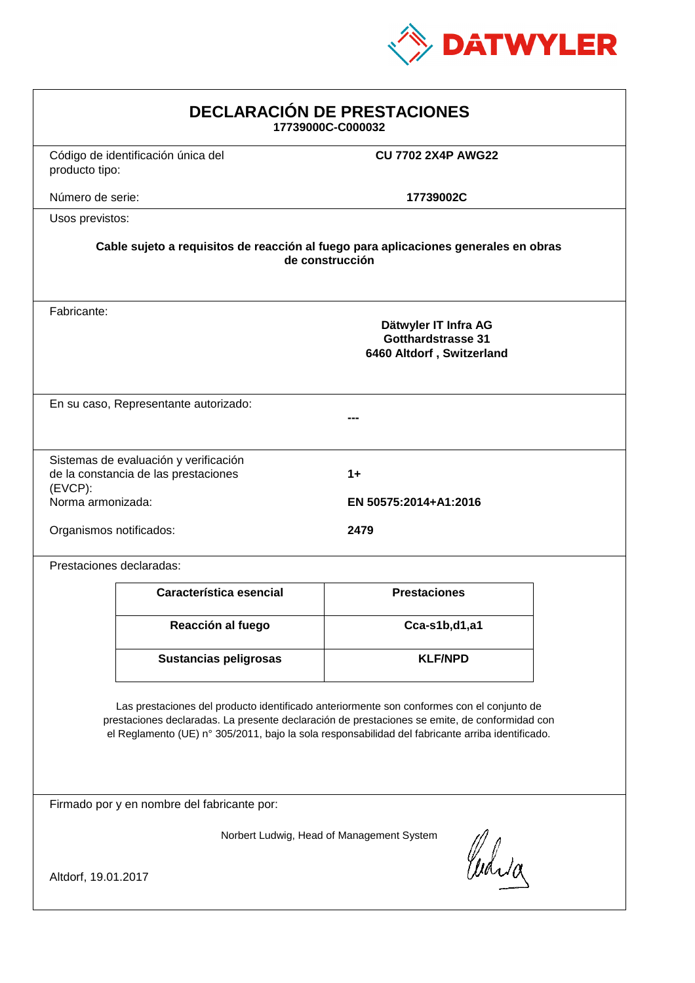

| <b>DECLARACIÓN DE PRESTACIONES</b><br>17739000C-C000032                                                                                                                                                                                                                                        |                                                                                                                                                                        |                           |  |
|------------------------------------------------------------------------------------------------------------------------------------------------------------------------------------------------------------------------------------------------------------------------------------------------|------------------------------------------------------------------------------------------------------------------------------------------------------------------------|---------------------------|--|
| producto tipo:                                                                                                                                                                                                                                                                                 | Código de identificación única del                                                                                                                                     | <b>CU 7702 2X4P AWG22</b> |  |
| Número de serie:                                                                                                                                                                                                                                                                               |                                                                                                                                                                        | 17739002C                 |  |
| Usos previstos:                                                                                                                                                                                                                                                                                |                                                                                                                                                                        |                           |  |
| Cable sujeto a requisitos de reacción al fuego para aplicaciones generales en obras<br>de construcción                                                                                                                                                                                         |                                                                                                                                                                        |                           |  |
| Fabricante:                                                                                                                                                                                                                                                                                    | Dätwyler IT Infra AG<br><b>Gotthardstrasse 31</b><br>6460 Altdorf, Switzerland                                                                                         |                           |  |
| En su caso, Representante autorizado:                                                                                                                                                                                                                                                          |                                                                                                                                                                        |                           |  |
| $(EVCP)$ :                                                                                                                                                                                                                                                                                     | Sistemas de evaluación y verificación<br>de la constancia de las prestaciones<br>$1+$<br>Norma armonizada:<br>EN 50575:2014+A1:2016<br>Organismos notificados:<br>2479 |                           |  |
|                                                                                                                                                                                                                                                                                                | Prestaciones declaradas:                                                                                                                                               |                           |  |
|                                                                                                                                                                                                                                                                                                | Característica esencial                                                                                                                                                | <b>Prestaciones</b>       |  |
|                                                                                                                                                                                                                                                                                                | Reacción al fuego                                                                                                                                                      | Cca-s1b,d1,a1             |  |
|                                                                                                                                                                                                                                                                                                | <b>Sustancias peligrosas</b>                                                                                                                                           | <b>KLF/NPD</b>            |  |
| Las prestaciones del producto identificado anteriormente son conformes con el conjunto de<br>prestaciones declaradas. La presente declaración de prestaciones se emite, de conformidad con<br>el Reglamento (UE) nº 305/2011, bajo la sola responsabilidad del fabricante arriba identificado. |                                                                                                                                                                        |                           |  |
| Firmado por y en nombre del fabricante por:                                                                                                                                                                                                                                                    |                                                                                                                                                                        |                           |  |
| Norbert Ludwig, Head of Management System<br>Curia                                                                                                                                                                                                                                             |                                                                                                                                                                        |                           |  |
| Altdorf, 19.01.2017                                                                                                                                                                                                                                                                            |                                                                                                                                                                        |                           |  |